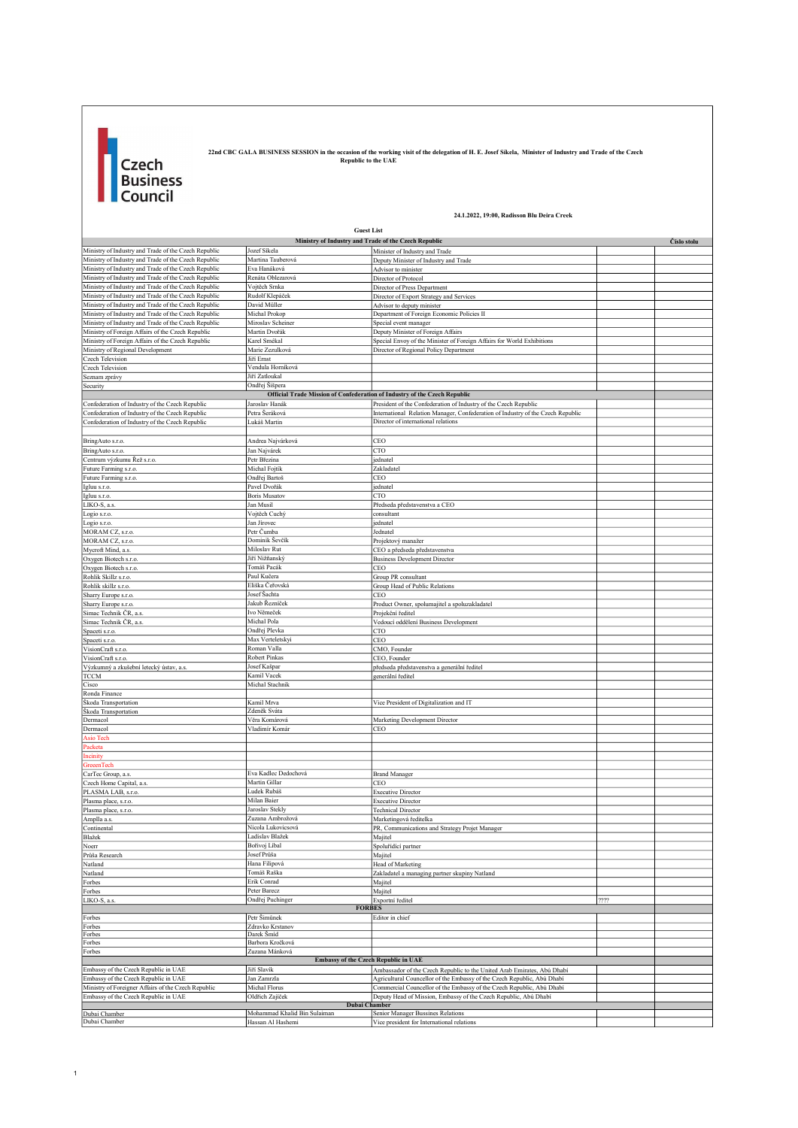

22nd CBC GALA BUSINESS SESSION in the occasion of the working visit of the delegation of H. E. Josef Sikela, Minister of Industry and Trade of the Czech case is a case of the CAE

24.1.2022, 19:00, Radisson Blu Deira Creek

|                                                                                                              | 24.1.2022, 19:00, Radisson Blu Deira Creek                                |                                                                                                                        |      |             |  |
|--------------------------------------------------------------------------------------------------------------|---------------------------------------------------------------------------|------------------------------------------------------------------------------------------------------------------------|------|-------------|--|
|                                                                                                              | <b>Guest List</b>                                                         |                                                                                                                        |      |             |  |
|                                                                                                              | Ministry of Industry and Trade of the Czech Republic                      |                                                                                                                        |      | Číslo stolu |  |
| Ministry of Industry and Trade of the Czech Republic                                                         | Jozef Síkela                                                              | Minister of Industry and Trade                                                                                         |      |             |  |
| Ministry of Industry and Trade of the Czech Republic                                                         | Martina Tauberová                                                         | Deputy Minister of Industry and Trade                                                                                  |      |             |  |
| Ministry of Industry and Trade of the Czech Republic                                                         | Eva Hanáková<br>Renáta Oblezarová                                         | Advisor to minister                                                                                                    |      |             |  |
| Ministry of Industry and Trade of the Czech Republic<br>Ministry of Industry and Trade of the Czech Republic | Vojtěch Srnka                                                             | Director of Protocol<br>Director of Press Department                                                                   |      |             |  |
| Ministry of Industry and Trade of the Czech Republic                                                         | Rudolf Klepáček                                                           | Director of Export Strategy and Services                                                                               |      |             |  |
| Ministry of Industry and Trade of the Czech Republic                                                         | David Müller                                                              | Advisor to deputy minister                                                                                             |      |             |  |
| Ministry of Industry and Trade of the Czech Republic                                                         | Michal Prokop                                                             | Department of Foreign Economic Policies II                                                                             |      |             |  |
| Ministry of Industry and Trade of the Czech Republic                                                         | Miroslav Scheiner                                                         | Special event manager                                                                                                  |      |             |  |
| Ministry of Foreign Affairs of the Czech Republic                                                            | Martin Dvořák                                                             | Deputy Minister of Foreign Affairs                                                                                     |      |             |  |
| Ministry of Foreign Affairs of the Czech Republic<br>Ministry of Regional Development                        | Karel Smékal<br>Marie Zezulková                                           | Special Envoy of the Minister of Foreign Affairs for World Exhibitions<br>Director of Regional Policy Department       |      |             |  |
| Czech Television                                                                                             | Jiří Ernst                                                                |                                                                                                                        |      |             |  |
| Czech Television                                                                                             | Vendula Horníková                                                         |                                                                                                                        |      |             |  |
| Seznam zprávy                                                                                                | Jiří Zatloukal                                                            |                                                                                                                        |      |             |  |
| Security                                                                                                     | Ondřej Šišpera                                                            |                                                                                                                        |      |             |  |
|                                                                                                              | Official Trade Mission of Confederation of Industry of the Czech Republic |                                                                                                                        |      |             |  |
| Confederation of Industry of the Czech Republic                                                              | Jaroslav Hanák                                                            | President of the Confederation of Industry of the Czech Republic                                                       |      |             |  |
| Confederation of Industry of the Czech Republic<br>Confederation of Industry of the Czech Republic           | Petra Šeráková<br>Lukáš Martin                                            | International Relation Manager, Confederation of Industry of the Czech Republic<br>Director of international relations |      |             |  |
|                                                                                                              |                                                                           |                                                                                                                        |      |             |  |
| BringAuto s.r.o.                                                                                             | Andrea Najvárková                                                         | CEO                                                                                                                    |      |             |  |
| BringAuto s.r.o.                                                                                             | Jan Najvárek                                                              | CTO                                                                                                                    |      |             |  |
| Centrum výzkumu Řež s.r.o.                                                                                   | Petr Březina                                                              | jednatel                                                                                                               |      |             |  |
| Future Farming s.r.o.                                                                                        | Michal Fojtík                                                             | Zakladatel                                                                                                             |      |             |  |
| Future Farming s.r.o.                                                                                        | Ondřej Bartoš                                                             | CEO                                                                                                                    |      |             |  |
| Igluu s.r.o.                                                                                                 | Pavel Dvořák                                                              | jednatel                                                                                                               |      |             |  |
| Igluu s.r.o.                                                                                                 | <b>Boris Musatov</b>                                                      | CTO                                                                                                                    |      |             |  |
| LIKO-S, a.s.                                                                                                 | Jan Musil                                                                 | Předseda představenstva a CEO                                                                                          |      |             |  |
| Logio s.r.o.<br>Logio s.r.o.                                                                                 | Vojtěch Cuchý<br>Jan Jírovec                                              | consultant<br>jednatel                                                                                                 |      |             |  |
| MORAM CZ, s.r.o.                                                                                             | Petr Čumba                                                                | Jednatel                                                                                                               |      |             |  |
| MORAM CZ, s.r.o.                                                                                             | Dominik Ševčík                                                            | Projektový manažer                                                                                                     |      |             |  |
| Mycroft Mind, a.s.                                                                                           | Miloslav Rut                                                              | CEO a předseda představenstva                                                                                          |      |             |  |
| Oxygen Biotech s.r.o.                                                                                        | Jiří Nižňanský                                                            | <b>Business Development Director</b>                                                                                   |      |             |  |
| Oxygen Biotech s.r.o.                                                                                        | Tomáš Pacák                                                               | CEO                                                                                                                    |      |             |  |
| Rohlik Skillz s.r.o.                                                                                         | Paul Kučera                                                               | Group PR consultant                                                                                                    |      |             |  |
| Rohlik skillz s.r.o.                                                                                         | Eliška Čeřovská<br>Josef Šachta                                           | Group Head of Public Relations<br>CEO                                                                                  |      |             |  |
| Sharry Europe s.r.o.<br>Sharry Europe s.r.o.                                                                 | Jakub Řezníček                                                            | Product Owner, spolumajitel a spoluzakladatel                                                                          |      |             |  |
| Simac Technik ČR, a.s.                                                                                       | Ivo Němeček                                                               | Projekční ředitel                                                                                                      |      |             |  |
| Simac Technik ČR, a.s.                                                                                       | Michal Pola                                                               | Vedoucí oddělení Business Development                                                                                  |      |             |  |
| Spaceti s.r.o.                                                                                               | Ondřej Plevka                                                             | CTO                                                                                                                    |      |             |  |
| Spaceti s.r.o.                                                                                               | Max Verteletskyi                                                          | CEO                                                                                                                    |      |             |  |
| VisionCraft s.r.o.                                                                                           | Roman Valla                                                               | CMO, Founder                                                                                                           |      |             |  |
| VisionCraft s.r.o.                                                                                           | Robert Pinkas                                                             | CEO, Founder                                                                                                           |      |             |  |
| Výzkumný a zkušební letecký ústav, a.s.<br><b>TCCM</b>                                                       | Josef Kašpar<br>Kamil Vacek                                               | předseda představenstva a generální ředitel<br>generální ředitel                                                       |      |             |  |
| Cisco                                                                                                        | Michal Stachnik                                                           |                                                                                                                        |      |             |  |
| Ronda Finance                                                                                                |                                                                           |                                                                                                                        |      |             |  |
| Škoda Transportation                                                                                         | Kamil Mrva                                                                | Vice President of Digitalization and IT                                                                                |      |             |  |
| Škoda Transportation                                                                                         | Zdeněk Sváta                                                              |                                                                                                                        |      |             |  |
| Dermacol                                                                                                     | Věra Komárová                                                             | Marketing Development Director                                                                                         |      |             |  |
| Dermacol                                                                                                     | Vladimír Komár                                                            | CEO                                                                                                                    |      |             |  |
| <b>Asio Tech</b><br>Packeta                                                                                  |                                                                           |                                                                                                                        |      |             |  |
| Incinity                                                                                                     |                                                                           |                                                                                                                        |      |             |  |
| <b>GreeenTech</b>                                                                                            |                                                                           |                                                                                                                        |      |             |  |
| CarTec Group, a.s.                                                                                           | Eva Kadlec Dedochová                                                      | <b>Brand Manager</b>                                                                                                   |      |             |  |
| Czech Home Capital, a.s.                                                                                     | Martin Gillar                                                             | CEO                                                                                                                    |      |             |  |
| PLASMA LAB, s.r.o.                                                                                           | Ludek Rubáš                                                               | <b>Executive Director</b>                                                                                              |      |             |  |
| Plasma place, s.r.o.<br>Plasma place s r c                                                                   | Milan Baier<br>Jaroslav Stekh                                             | <b>Executive Director</b><br><b>Technical Director</b>                                                                 |      |             |  |
| Amplla a.s.                                                                                                  | Zuzana Ambrožová                                                          | Marketingová ředitelka                                                                                                 |      |             |  |
| Continental                                                                                                  | Nicola Lukovicsová                                                        | PR, Communications and Strategy Projet Manager                                                                         |      |             |  |
| Blažek                                                                                                       | Ladislav Blažek                                                           | Majitel                                                                                                                |      |             |  |
| Noerr                                                                                                        | Bořivoj Líbal                                                             | Spoluřidící partner                                                                                                    |      |             |  |
| Průša Research                                                                                               | Josef Průša                                                               | Majitel                                                                                                                |      |             |  |
| Natland                                                                                                      | Hana Filipová                                                             | Head of Marketing                                                                                                      |      |             |  |
| Natland                                                                                                      | Tomáš Raška                                                               | Zakladatel a managing partner skupiny Natland                                                                          |      |             |  |
| Forbes                                                                                                       | Erik Conrad                                                               | Majitel                                                                                                                |      |             |  |
| Forbes<br>LIKO-S, a.s.                                                                                       | Peter Barecz<br>Ondřej Puchinger                                          | Majitel<br>Exportní ředitel                                                                                            | 2222 |             |  |
|                                                                                                              | <b>FORBES</b>                                                             |                                                                                                                        |      |             |  |
| Forbes                                                                                                       | Petr Šimůnek                                                              | Editor in chief                                                                                                        |      |             |  |
| Forbes                                                                                                       | Zdravko Krstanov                                                          |                                                                                                                        |      |             |  |
| Forbes                                                                                                       | Darek Šmíd                                                                |                                                                                                                        |      |             |  |
| Forbes                                                                                                       | Barbora Kročková                                                          |                                                                                                                        |      |             |  |
| Forbes                                                                                                       | Zuzana Mánková<br><b>Embassy of the Czech Republic in UAE</b>             |                                                                                                                        |      |             |  |
| Embassy of the Czech Republic in UAE                                                                         | Jiří Slavík                                                               | Ambassador of the Czech Republic to the United Arab Emirates, Abú Dhabí                                                |      |             |  |
| Embassy of the Czech Republic in UAE                                                                         | Jan Zamrzla                                                               | Agricultural Councellor of the Embassy of the Czech Republic, Abú Dhabí                                                |      |             |  |
| Ministry of Foreigner Affairs of the Czech Republic                                                          | Michal Florus                                                             | Commercial Councellor of the Embassy of the Czech Republic, Abú Dhabí                                                  |      |             |  |
| Embassy of the Czech Republic in UAE                                                                         | Oldřich Zajíček                                                           | Deputy Head of Mission, Embassy of the Czech Republic, Abú Dhabí                                                       |      |             |  |
|                                                                                                              | <b>Dubai Chamber</b>                                                      |                                                                                                                        |      |             |  |
| Dubai Chamber<br>Dubai Chamber                                                                               | Mohammad Khalid Bin Sulaiman<br>Hassan Al Hashemi                         | Senior Manager Bussines Relations<br>Vice president for International relations                                        |      |             |  |